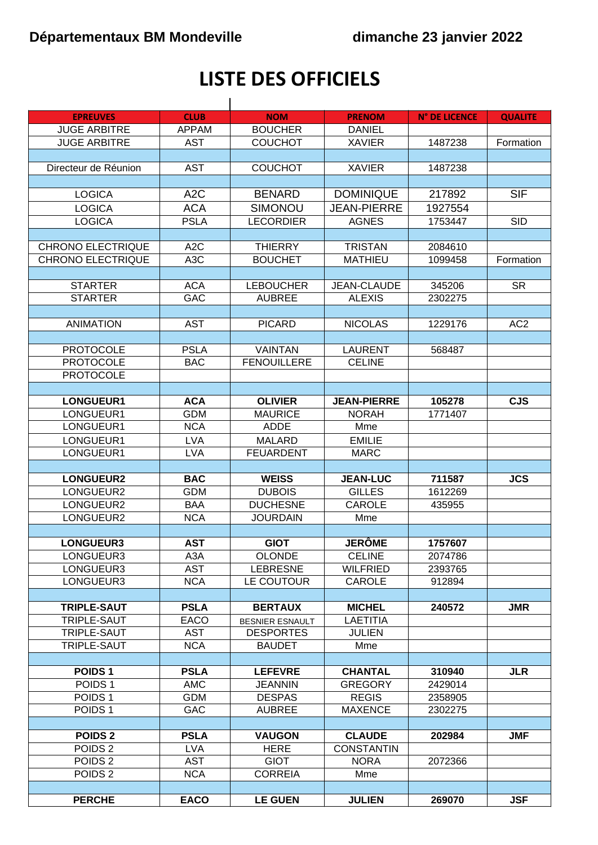## LISTE DES OFFICIELS

| <b>EPREUVES</b>          | <b>CLUB</b>      | <b>NOM</b>             | <b>PRENOM</b>      | <b>N° DE LICENCE</b> | <b>QUALITE</b>  |
|--------------------------|------------------|------------------------|--------------------|----------------------|-----------------|
| <b>JUGE ARBITRE</b>      | <b>APPAM</b>     | <b>BOUCHER</b>         | <b>DANIEL</b>      |                      |                 |
| <b>JUGE ARBITRE</b>      | <b>AST</b>       | <b>COUCHOT</b>         | <b>XAVIER</b>      | 1487238              | Formation       |
|                          |                  |                        |                    |                      |                 |
| Directeur de Réunion     | <b>AST</b>       | <b>COUCHOT</b>         | <b>XAVIER</b>      | 1487238              |                 |
|                          |                  |                        |                    |                      |                 |
| <b>LOGICA</b>            | A <sub>2</sub> C | <b>BENARD</b>          | <b>DOMINIQUE</b>   | 217892               | <b>SIF</b>      |
| <b>LOGICA</b>            | <b>ACA</b>       | SIMONOU                | <b>JEAN-PIERRE</b> | 1927554              |                 |
| <b>LOGICA</b>            | <b>PSLA</b>      | <b>LECORDIER</b>       | <b>AGNES</b>       | 1753447              | <b>SID</b>      |
|                          |                  |                        |                    |                      |                 |
| <b>CHRONO ELECTRIQUE</b> | A <sub>2</sub> C | <b>THIERRY</b>         | <b>TRISTAN</b>     | 2084610              |                 |
| CHRONO ELECTRIQUE        | A <sub>3</sub> C | <b>BOUCHET</b>         | <b>MATHIEU</b>     | 1099458              | Formation       |
|                          |                  |                        |                    |                      |                 |
| <b>STARTER</b>           | <b>ACA</b>       | <b>LEBOUCHER</b>       | <b>JEAN-CLAUDE</b> | 345206               | <b>SR</b>       |
| <b>STARTER</b>           | <b>GAC</b>       | <b>AUBREE</b>          | <b>ALEXIS</b>      | 2302275              |                 |
|                          |                  |                        |                    |                      |                 |
| <b>ANIMATION</b>         | <b>AST</b>       | <b>PICARD</b>          | <b>NICOLAS</b>     | 1229176              | AC <sub>2</sub> |
|                          |                  |                        |                    |                      |                 |
| <b>PROTOCOLE</b>         | <b>PSLA</b>      | <b>VAINTAN</b>         | <b>LAURENT</b>     | 568487               |                 |
| <b>PROTOCOLE</b>         | <b>BAC</b>       | <b>FENOUILLERE</b>     | <b>CELINE</b>      |                      |                 |
| <b>PROTOCOLE</b>         |                  |                        |                    |                      |                 |
|                          |                  |                        |                    |                      |                 |
| LONGUEUR1                | <b>ACA</b>       | <b>OLIVIER</b>         | <b>JEAN-PIERRE</b> | 105278               | <b>CJS</b>      |
| LONGUEUR1                | <b>GDM</b>       | <b>MAURICE</b>         | <b>NORAH</b>       | 1771407              |                 |
| LONGUEUR1                | <b>NCA</b>       | <b>ADDE</b>            | Mme                |                      |                 |
| LONGUEUR1                | <b>LVA</b>       | <b>MALARD</b>          | <b>EMILIE</b>      |                      |                 |
| LONGUEUR1                | <b>LVA</b>       | <b>FEUARDENT</b>       | <b>MARC</b>        |                      |                 |
|                          |                  |                        |                    |                      |                 |
| <b>LONGUEUR2</b>         | <b>BAC</b>       | <b>WEISS</b>           | <b>JEAN-LUC</b>    | 711587               | <b>JCS</b>      |
| LONGUEUR2                | <b>GDM</b>       | <b>DUBOIS</b>          | <b>GILLES</b>      | 1612269              |                 |
| LONGUEUR2                | <b>BAA</b>       | <b>DUCHESNE</b>        | CAROLE             | 435955               |                 |
| LONGUEUR2                | <b>NCA</b>       | <b>JOURDAIN</b>        | Mme                |                      |                 |
|                          |                  |                        |                    |                      |                 |
| <b>LONGUEUR3</b>         | <b>AST</b>       | <b>GIOT</b>            | <b>JERÔME</b>      | 1757607              |                 |
| LONGUEUR3                | A <sub>3</sub> A | <b>OLONDE</b>          | <b>CELINE</b>      | 2074786              |                 |
| LONGUEUR3                | <b>AST</b>       | <b>LEBRESNE</b>        | <b>WILFRIED</b>    | 2393765              |                 |
| LONGUEUR3                | <b>NCA</b>       | LE COUTOUR             | CAROLE             | 912894               |                 |
| <b>TRIPLE-SAUT</b>       | <b>PSLA</b>      | <b>BERTAUX</b>         | <b>MICHEL</b>      | 240572               | <b>JMR</b>      |
| TRIPLE-SAUT              | <b>EACO</b>      | <b>BESNIER ESNAULT</b> | <b>LAETITIA</b>    |                      |                 |
| TRIPLE-SAUT              | <b>AST</b>       | <b>DESPORTES</b>       | <b>JULIEN</b>      |                      |                 |
| TRIPLE-SAUT              | <b>NCA</b>       | <b>BAUDET</b>          | Mme                |                      |                 |
|                          |                  |                        |                    |                      |                 |
| POIDS <sub>1</sub>       | <b>PSLA</b>      | <b>LEFEVRE</b>         | <b>CHANTAL</b>     | 310940               | <b>JLR</b>      |
| POIDS 1                  | <b>AMC</b>       | <b>JEANNIN</b>         | <b>GREGORY</b>     | 2429014              |                 |
| POIDS <sub>1</sub>       | <b>GDM</b>       | <b>DESPAS</b>          | <b>REGIS</b>       | 2358905              |                 |
| POIDS <sub>1</sub>       | <b>GAC</b>       | <b>AUBREE</b>          | <b>MAXENCE</b>     | 2302275              |                 |
|                          |                  |                        |                    |                      |                 |
| <b>POIDS 2</b>           | <b>PSLA</b>      | <b>VAUGON</b>          | <b>CLAUDE</b>      | 202984               | <b>JMF</b>      |
| POIDS <sub>2</sub>       | <b>LVA</b>       | <b>HERE</b>            | <b>CONSTANTIN</b>  |                      |                 |
| POIDS <sub>2</sub>       | <b>AST</b>       | <b>GIOT</b>            | <b>NORA</b>        | 2072366              |                 |
| POIDS <sub>2</sub>       | <b>NCA</b>       | <b>CORREIA</b>         | Mme                |                      |                 |
|                          |                  |                        |                    |                      |                 |
| <b>PERCHE</b>            | <b>EACO</b>      | <b>LE GUEN</b>         | <b>JULIEN</b>      | 269070               | <b>JSF</b>      |